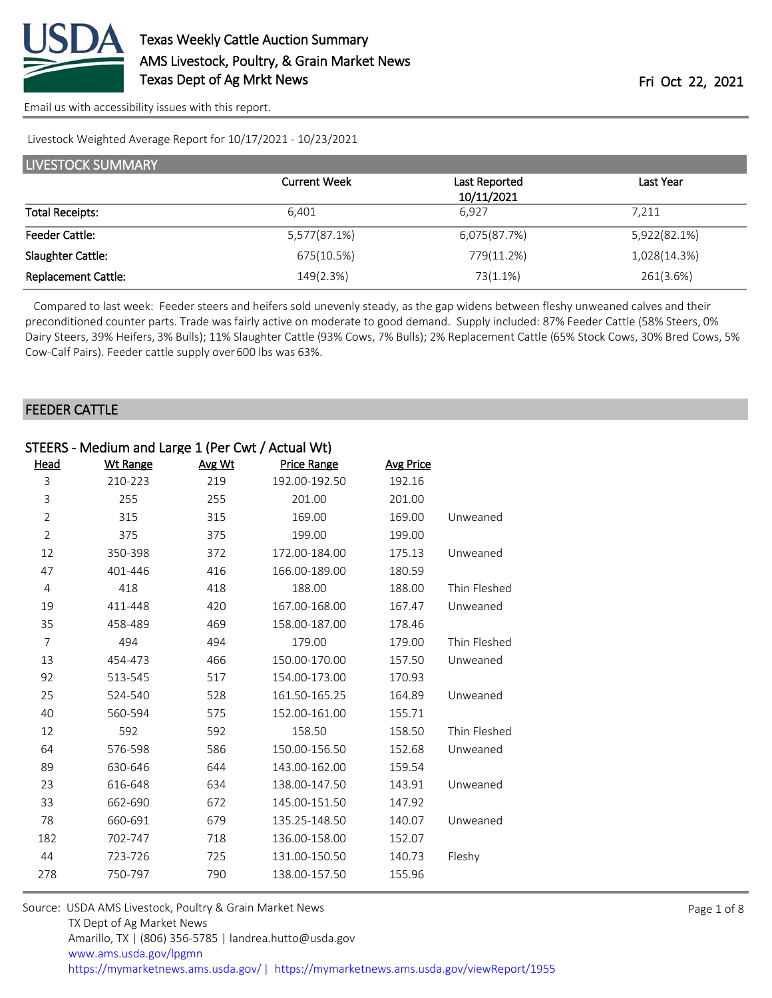

[Email us with accessibility issues with this report.](mailto:mars@ams.usda.gov?subject=508%20issue)

Livestock Weighted Average Report for 10/17/2021 - 10/23/2021

| LIVESTOCK SUMMARY          |                     |                             |              |  |  |
|----------------------------|---------------------|-----------------------------|--------------|--|--|
|                            | <b>Current Week</b> | Last Reported<br>10/11/2021 | Last Year    |  |  |
| <b>Total Receipts:</b>     | 6.401               | 6.927                       | 7,211        |  |  |
| <b>Feeder Cattle:</b>      | 5,577(87.1%)        | 6,075(87.7%)                | 5,922(82.1%) |  |  |
| Slaughter Cattle:          | 675(10.5%)          | 779(11.2%)                  | 1,028(14.3%) |  |  |
| <b>Replacement Cattle:</b> | 149(2.3%)           | 73(1.1%)                    | 261(3.6%)    |  |  |

 Compared to last week: Feeder steers and heifers sold unevenly steady, as the gap widens between fleshy unweaned calves and their preconditioned counter parts. Trade was fairly active on moderate to good demand. Supply included: 87% Feeder Cattle (58% Steers, 0% Dairy Steers, 39% Heifers, 3% Bulls); 11% Slaughter Cattle (93% Cows, 7% Bulls); 2% Replacement Cattle (65% Stock Cows, 30% Bred Cows, 5% Cow-Calf Pairs). Feeder cattle supply over 600 lbs was 63%.

### FEEDER CATTLE

| STEERS - Medium and Large 1 (Per Cwt / Actual Wt) |                 |        |                    |                  |              |
|---------------------------------------------------|-----------------|--------|--------------------|------------------|--------------|
| Head                                              | <b>Wt Range</b> | Avg Wt | <b>Price Range</b> | <b>Avg Price</b> |              |
| 3                                                 | 210-223         | 219    | 192.00-192.50      | 192.16           |              |
| 3                                                 | 255             | 255    | 201.00             | 201.00           |              |
| $\overline{2}$                                    | 315             | 315    | 169.00             | 169.00           | Unweaned     |
| $\overline{2}$                                    | 375             | 375    | 199.00             | 199.00           |              |
| 12                                                | 350-398         | 372    | 172.00-184.00      | 175.13           | Unweaned     |
| 47                                                | 401-446         | 416    | 166.00-189.00      | 180.59           |              |
| $\overline{4}$                                    | 418             | 418    | 188.00             | 188.00           | Thin Fleshed |
| 19                                                | 411-448         | 420    | 167.00-168.00      | 167.47           | Unweaned     |
| 35                                                | 458-489         | 469    | 158.00-187.00      | 178.46           |              |
| 7                                                 | 494             | 494    | 179.00             | 179.00           | Thin Fleshed |
| 13                                                | 454-473         | 466    | 150.00-170.00      | 157.50           | Unweaned     |
| 92                                                | 513-545         | 517    | 154.00-173.00      | 170.93           |              |
| 25                                                | 524-540         | 528    | 161.50-165.25      | 164.89           | Unweaned     |
| 40                                                | 560-594         | 575    | 152.00-161.00      | 155.71           |              |
| 12                                                | 592             | 592    | 158.50             | 158.50           | Thin Fleshed |
| 64                                                | 576-598         | 586    | 150.00-156.50      | 152.68           | Unweaned     |
| 89                                                | 630-646         | 644    | 143.00-162.00      | 159.54           |              |
| 23                                                | 616-648         | 634    | 138.00-147.50      | 143.91           | Unweaned     |
| 33                                                | 662-690         | 672    | 145.00-151.50      | 147.92           |              |
| 78                                                | 660-691         | 679    | 135.25-148.50      | 140.07           | Unweaned     |
| 182                                               | 702-747         | 718    | 136.00-158.00      | 152.07           |              |
| 44                                                | 723-726         | 725    | 131.00-150.50      | 140.73           | Fleshy       |
| 278                                               | 750-797         | 790    | 138.00-157.50      | 155.96           |              |
|                                                   |                 |        |                    |                  |              |

| Source: USDA AMS Livestock, Poultry & Grain Market News                               |
|---------------------------------------------------------------------------------------|
| TX Dept of Ag Market News                                                             |
| Amarillo, TX   (806) 356-5785   landrea.hutto@usda.gov                                |
| www.ams.usda.gov/lpgmn                                                                |
| https://mymarketnews.ams.usda.gov/  https://mymarketnews.ams.usda.gov/viewReport/1955 |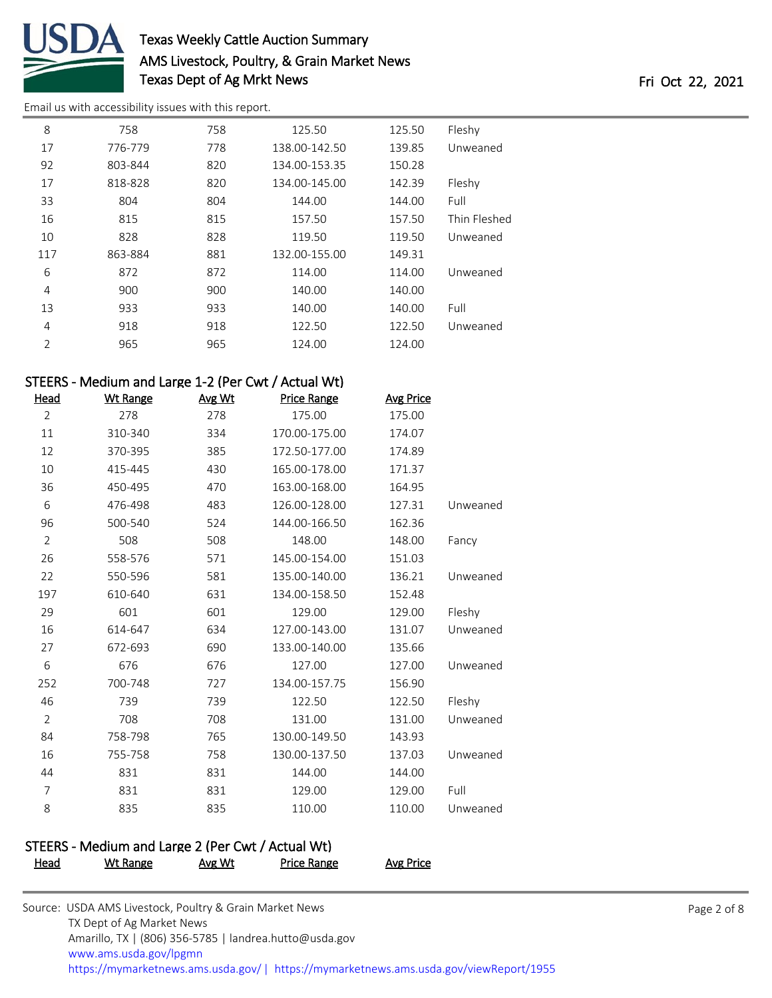

[Email us with accessibility issues with this report.](mailto:mars@ams.usda.gov?subject=508%20issue)

| 8              | 758     | 758 | 125.50        | 125.50 | Fleshy       |
|----------------|---------|-----|---------------|--------|--------------|
| 17             | 776-779 | 778 | 138.00-142.50 | 139.85 | Unweaned     |
| 92             | 803-844 | 820 | 134.00-153.35 | 150.28 |              |
| 17             | 818-828 | 820 | 134.00-145.00 | 142.39 | Fleshy       |
| 33             | 804     | 804 | 144.00        | 144.00 | Full         |
| 16             | 815     | 815 | 157.50        | 157.50 | Thin Fleshed |
| 10             | 828     | 828 | 119.50        | 119.50 | Unweaned     |
| 117            | 863-884 | 881 | 132.00-155.00 | 149.31 |              |
| 6              | 872     | 872 | 114.00        | 114.00 | Unweaned     |
| 4              | 900     | 900 | 140.00        | 140.00 |              |
| 13             | 933     | 933 | 140.00        | 140.00 | Full         |
| 4              | 918     | 918 | 122.50        | 122.50 | Unweaned     |
| $\overline{2}$ | 965     | 965 | 124.00        | 124.00 |              |

## STEERS - Medium and Large 1-2 (Per Cwt / Actual Wt)

| <b>Head</b>    | <b>Wt Range</b> | Avg Wt | <b>Price Range</b> | <b>Avg Price</b> |          |
|----------------|-----------------|--------|--------------------|------------------|----------|
| $\overline{2}$ | 278             | 278    | 175.00             | 175.00           |          |
| 11             | 310-340         | 334    | 170.00-175.00      | 174.07           |          |
| 12             | 370-395         | 385    | 172.50-177.00      | 174.89           |          |
| 10             | 415-445         | 430    | 165.00-178.00      | 171.37           |          |
| 36             | 450-495         | 470    | 163.00-168.00      | 164.95           |          |
| 6              | 476-498         | 483    | 126.00-128.00      | 127.31           | Unweaned |
| 96             | 500-540         | 524    | 144.00-166.50      | 162.36           |          |
| $\overline{2}$ | 508             | 508    | 148.00             | 148.00           | Fancy    |
| 26             | 558-576         | 571    | 145.00-154.00      | 151.03           |          |
| 22             | 550-596         | 581    | 135.00-140.00      | 136.21           | Unweaned |
| 197            | 610-640         | 631    | 134.00-158.50      | 152.48           |          |
| 29             | 601             | 601    | 129.00             | 129.00           | Fleshy   |
| 16             | 614-647         | 634    | 127.00-143.00      | 131.07           | Unweaned |
| 27             | 672-693         | 690    | 133.00-140.00      | 135.66           |          |
| 6              | 676             | 676    | 127.00             | 127.00           | Unweaned |
| 252            | 700-748         | 727    | 134.00-157.75      | 156.90           |          |
| 46             | 739             | 739    | 122.50             | 122.50           | Fleshy   |
| $\overline{2}$ | 708             | 708    | 131.00             | 131.00           | Unweaned |
| 84             | 758-798         | 765    | 130.00-149.50      | 143.93           |          |
| 16             | 755-758         | 758    | 130.00-137.50      | 137.03           | Unweaned |
| 44             | 831             | 831    | 144.00             | 144.00           |          |
| $\overline{7}$ | 831             | 831    | 129.00             | 129.00           | Full     |
| 8              | 835             | 835    | 110.00             | 110.00           | Unweaned |
|                |                 |        |                    |                  |          |

### STEERS - Medium and Large 2 (Per Cwt / Actual Wt) Head Wt Range Avg Wt Price Range Avg Price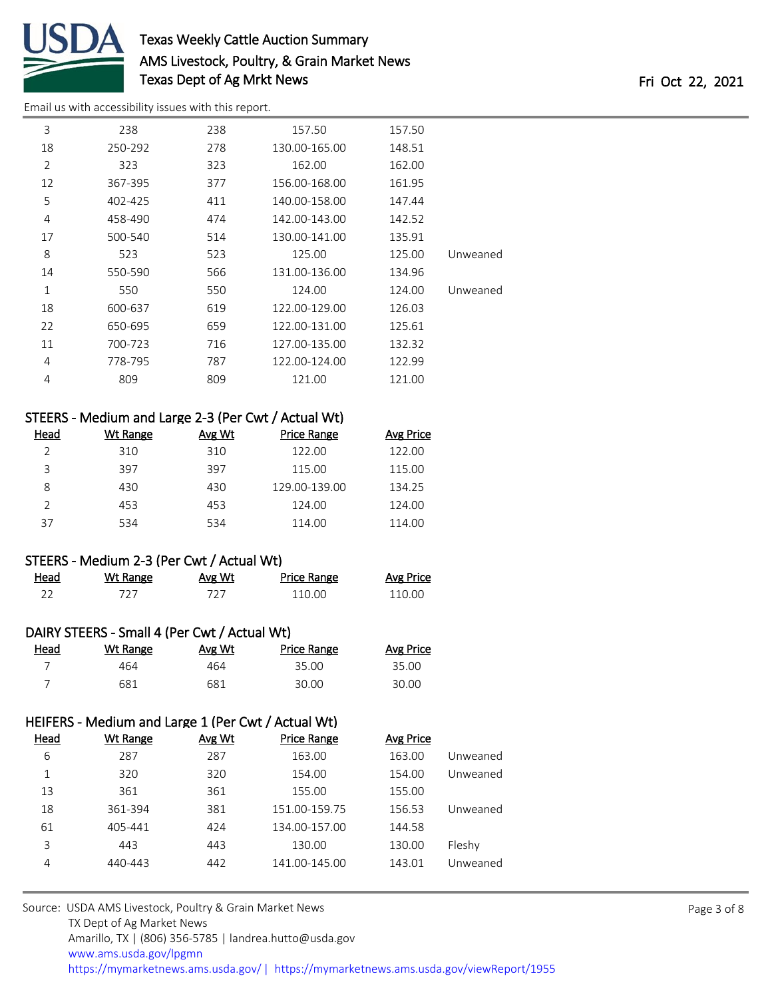

[Email us with accessibility issues with this report.](mailto:mars@ams.usda.gov?subject=508%20issue)

| 3              | 238     | 238 | 157.50        | 157.50 |          |
|----------------|---------|-----|---------------|--------|----------|
| 18             | 250-292 | 278 | 130.00-165.00 | 148.51 |          |
| $\overline{2}$ | 323     | 323 | 162.00        | 162.00 |          |
| 12             | 367-395 | 377 | 156.00-168.00 | 161.95 |          |
| 5              | 402-425 | 411 | 140.00-158.00 | 147.44 |          |
| 4              | 458-490 | 474 | 142.00-143.00 | 142.52 |          |
| 17             | 500-540 | 514 | 130.00-141.00 | 135.91 |          |
| 8              | 523     | 523 | 125.00        | 125.00 | Unweaned |
| 14             | 550-590 | 566 | 131.00-136.00 | 134.96 |          |
| $\mathbf{1}$   | 550     | 550 | 124.00        | 124.00 | Unweaned |
| 18             | 600-637 | 619 | 122.00-129.00 | 126.03 |          |
| 22             | 650-695 | 659 | 122.00-131.00 | 125.61 |          |
| 11             | 700-723 | 716 | 127.00-135.00 | 132.32 |          |
| 4              | 778-795 | 787 | 122.00-124.00 | 122.99 |          |
| 4              | 809     | 809 | 121.00        | 121.00 |          |

## STEERS - Medium and Large 2-3 (Per Cwt / Actual Wt)

| Head | Wt Range | Avg Wt | Price Range   | Avg Price |
|------|----------|--------|---------------|-----------|
|      | 310      | 310    | 122.00        | 122.00    |
| ς    | 397      | 397    | 115.00        | 115.00    |
| 8    | 430      | 430    | 129.00-139.00 | 134.25    |
|      | 453      | 453    | 124.00        | 124.00    |
| 37   | 534      | 534    | 114.00        | 114.00    |

### STEERS - Medium 2-3 (Per Cwt / Actual Wt)

| Head | Wt Range | <u>Avg Wt</u> | Price Range | <b>Avg Price</b> |
|------|----------|---------------|-------------|------------------|
|      |          |               | 110.00      | 110.00           |

### DAIRY STEERS - Small 4 (Per Cwt / Actual Wt)

| Head | Wt Range | Avg Wt | <b>Price Range</b> | <b>Avg Price</b> |
|------|----------|--------|--------------------|------------------|
|      | 464      | 464    | 35.00              | 35.00            |
|      | 681      | 681    | 30.00              | 30.00            |

## HEIFERS - Medium and Large 1 (Per Cwt / Actual Wt)

| <u>Head</u> | <b>Wt Range</b> | Avg Wt | <b>Price Range</b> | <b>Avg Price</b> |          |
|-------------|-----------------|--------|--------------------|------------------|----------|
| 6           | 287             | 287    | 163.00             | 163.00           | Unweaned |
| 1           | 320             | 320    | 154.00             | 154.00           | Unweaned |
| 13          | 361             | 361    | 155.00             | 155.00           |          |
| 18          | 361-394         | 381    | 151.00-159.75      | 156.53           | Unweaned |
| 61          | 405-441         | 424    | 134.00-157.00      | 144.58           |          |
| 3           | 443             | 443    | 130.00             | 130.00           | Fleshy   |
| 4           | 440-443         | 442    | 141.00-145.00      | 143.01           | Unweaned |
|             |                 |        |                    |                  |          |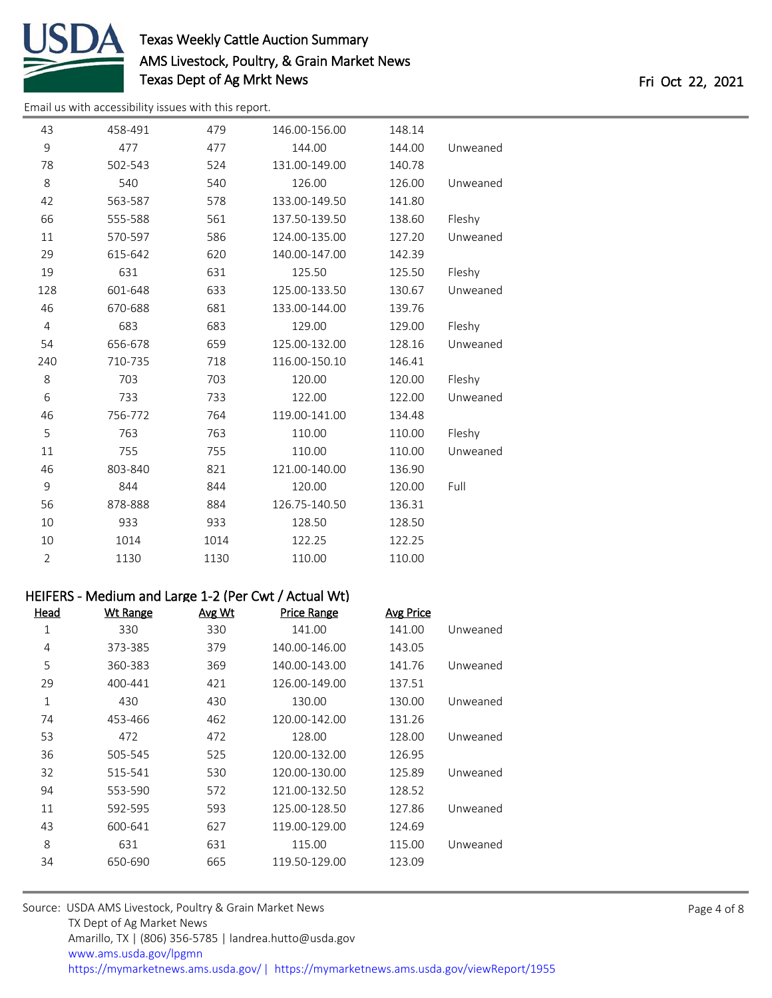

[Email us with accessibility issues with this report.](mailto:mars@ams.usda.gov?subject=508%20issue)

| 43             | 458-491 | 479  | 146.00-156.00 | 148.14 |          |
|----------------|---------|------|---------------|--------|----------|
| 9              | 477     | 477  | 144.00        | 144.00 | Unweaned |
| 78             | 502-543 | 524  | 131.00-149.00 | 140.78 |          |
| 8              | 540     | 540  | 126.00        | 126.00 | Unweaned |
| 42             | 563-587 | 578  | 133.00-149.50 | 141.80 |          |
| 66             | 555-588 | 561  | 137.50-139.50 | 138.60 | Fleshy   |
| 11             | 570-597 | 586  | 124.00-135.00 | 127.20 | Unweaned |
| 29             | 615-642 | 620  | 140.00-147.00 | 142.39 |          |
| 19             | 631     | 631  | 125.50        | 125.50 | Fleshy   |
| 128            | 601-648 | 633  | 125.00-133.50 | 130.67 | Unweaned |
| 46             | 670-688 | 681  | 133.00-144.00 | 139.76 |          |
| $\overline{4}$ | 683     | 683  | 129.00        | 129.00 | Fleshy   |
| 54             | 656-678 | 659  | 125.00-132.00 | 128.16 | Unweaned |
| 240            | 710-735 | 718  | 116.00-150.10 | 146.41 |          |
| 8              | 703     | 703  | 120.00        | 120.00 | Fleshy   |
| 6              | 733     | 733  | 122.00        | 122.00 | Unweaned |
| 46             | 756-772 | 764  | 119.00-141.00 | 134.48 |          |
| 5              | 763     | 763  | 110.00        | 110.00 | Fleshy   |
| 11             | 755     | 755  | 110.00        | 110.00 | Unweaned |
| 46             | 803-840 | 821  | 121.00-140.00 | 136.90 |          |
| 9              | 844     | 844  | 120.00        | 120.00 | Full     |
| 56             | 878-888 | 884  | 126.75-140.50 | 136.31 |          |
| 10             | 933     | 933  | 128.50        | 128.50 |          |
| 10             | 1014    | 1014 | 122.25        | 122.25 |          |
| $\overline{2}$ | 1130    | 1130 | 110.00        | 110.00 |          |

### HEIFERS - Medium and Large 1-2 (Per Cwt / Actual Wt)

| <b>Wt Range</b> | Avg Wt | <b>Price Range</b> | <b>Avg Price</b> |          |
|-----------------|--------|--------------------|------------------|----------|
| 330             | 330    | 141.00             | 141.00           | Unweaned |
| 373-385         | 379    | 140.00-146.00      | 143.05           |          |
| 360-383         | 369    | 140.00-143.00      | 141.76           | Unweaned |
| 400-441         | 421    | 126.00-149.00      | 137.51           |          |
| 430             | 430    | 130.00             | 130.00           | Unweaned |
| 453-466         | 462    | 120.00-142.00      | 131.26           |          |
| 472             | 472    | 128.00             | 128.00           | Unweaned |
| 505-545         | 525    | 120.00-132.00      | 126.95           |          |
| 515-541         | 530    | 120.00-130.00      | 125.89           | Unweaned |
| 553-590         | 572    | 121.00-132.50      | 128.52           |          |
| 592-595         | 593    | 125.00-128.50      | 127.86           | Unweaned |
| 600-641         | 627    | 119.00-129.00      | 124.69           |          |
| 631             | 631    | 115.00             | 115.00           | Unweaned |
| 650-690         | 665    | 119.50-129.00      | 123.09           |          |
|                 |        |                    |                  |          |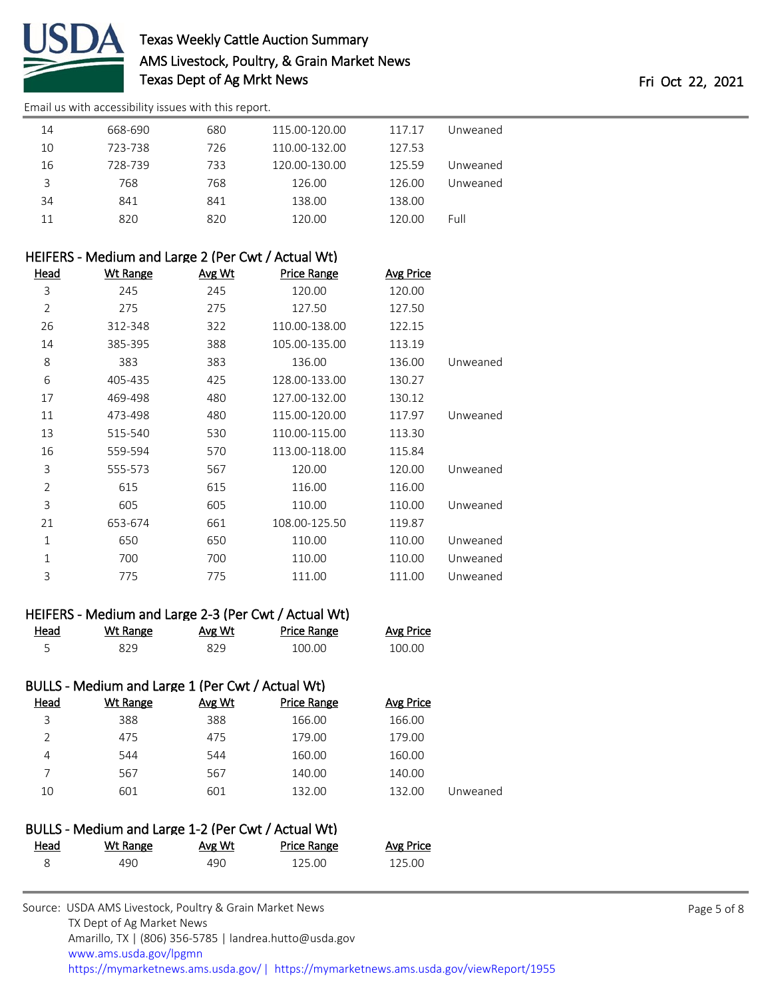

[Email us with accessibility issues with this report.](mailto:mars@ams.usda.gov?subject=508%20issue)

| 14 | 668-690 | 680 | 115.00-120.00 | 117.17 | Unweaned |
|----|---------|-----|---------------|--------|----------|
| 10 | 723-738 | 726 | 110.00-132.00 | 127.53 |          |
| 16 | 728-739 | 733 | 120.00-130.00 | 125.59 | Unweaned |
| 3  | 768     | 768 | 126.00        | 126.00 | Unweaned |
| 34 | 841     | 841 | 138.00        | 138.00 |          |
| 11 | 820     | 820 | 120.00        | 120.00 | Full     |
|    |         |     |               |        |          |

## HEIFERS - Medium and Large 2 (Per Cwt / Actual Wt)

| <u>Head</u>    | <b>Wt Range</b> | Avg Wt | <b>Price Range</b> | <b>Avg Price</b> |          |
|----------------|-----------------|--------|--------------------|------------------|----------|
| 3              | 245             | 245    | 120.00             | 120.00           |          |
| 2              | 275             | 275    | 127.50             | 127.50           |          |
| 26             | 312-348         | 322    | 110.00-138.00      | 122.15           |          |
| 14             | 385-395         | 388    | 105.00-135.00      | 113.19           |          |
| 8              | 383             | 383    | 136.00             | 136.00           | Unweaned |
| 6              | 405-435         | 425    | 128.00-133.00      | 130.27           |          |
| 17             | 469-498         | 480    | 127.00-132.00      | 130.12           |          |
| 11             | 473-498         | 480    | 115.00-120.00      | 117.97           | Unweaned |
| 13             | 515-540         | 530    | 110.00-115.00      | 113.30           |          |
| 16             | 559-594         | 570    | 113.00-118.00      | 115.84           |          |
| 3              | 555-573         | 567    | 120.00             | 120.00           | Unweaned |
| $\overline{2}$ | 615             | 615    | 116.00             | 116.00           |          |
| 3              | 605             | 605    | 110.00             | 110.00           | Unweaned |
| 21             | 653-674         | 661    | 108.00-125.50      | 119.87           |          |
| 1              | 650             | 650    | 110.00             | 110.00           | Unweaned |
| 1              | 700             | 700    | 110.00             | 110.00           | Unweaned |
| 3              | 775             | 775    | 111.00             | 111.00           | Unweaned |

### HEIFERS - Medium and Large 2-3 (Per Cwt / Actual Wt)

| Head | Wt Range | Avg Wt | <b>Price Range</b> | Avg Price |
|------|----------|--------|--------------------|-----------|
|      | 829      |        | 100.00             | 100.00    |

### BULLS - Medium and Large 1 (Per Cwt / Actual Wt) Head Wt Range Avg Wt Price Range Avg Price 388 388 166.00 166.00 475 475 179.00 179.00 544 544 160.00 160.00 567 567 140.00 140.00 601 601 132.00 132.00 Unweaned

|             | BULLS - Medium and Large 1-2 (Per Cwt / Actual Wt) |        |                    |           |  |
|-------------|----------------------------------------------------|--------|--------------------|-----------|--|
| <u>Head</u> | Wt Range                                           | Avg Wt | <b>Price Range</b> | Avg Price |  |
|             | 490.                                               | 490.   | 125.00             | 125.00    |  |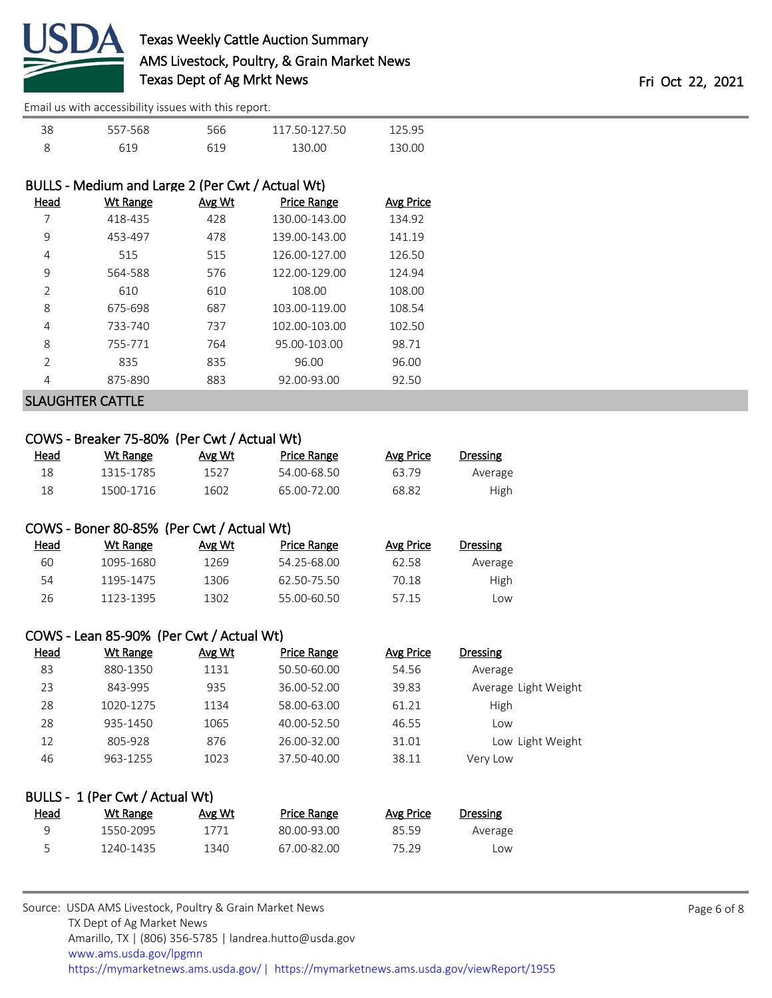

[Email us with accessibility issues with this report.](mailto:mars@ams.usda.gov?subject=508%20issue)

| 38 | 557-568 | 566 | 117.50-127.50 | 125.95 |  |
|----|---------|-----|---------------|--------|--|
|    | 619     |     | 130.00        | 130.00 |  |

### BULLS - Medium and Large 2 (Per Cwt / Actual Wt)

| Head | <b>Wt Range</b> | Avg Wt | <b>Price Range</b> | Avg Price |
|------|-----------------|--------|--------------------|-----------|
|      | 418-435         | 428    | 130.00-143.00      | 134.92    |
| 9    | 453-497         | 478    | 139.00-143.00      | 141.19    |
| 4    | 515             | 515    | 126.00-127.00      | 126.50    |
| 9    | 564-588         | 576    | 122.00-129.00      | 124.94    |
| 2    | 610             | 610    | 108.00             | 108.00    |
| 8    | 675-698         | 687    | 103.00-119.00      | 108.54    |
| 4    | 733-740         | 737    | 102.00-103.00      | 102.50    |
| 8    | 755-771         | 764    | 95.00-103.00       | 98.71     |
| 2    | 835             | 835    | 96.00              | 96.00     |
| 4    | 875-890         | 883    | 92.00-93.00        | 92.50     |
|      |                 |        |                    |           |

### SLAUGHTER CATTLE

### COWS - Breaker 75-80% (Per Cwt / Actual Wt)

| <u>Head</u> | Wt Range  | Avg Wt | Price Range | Avg Price | Dressing |
|-------------|-----------|--------|-------------|-----------|----------|
| 18          | 1315-1785 | 1527   | 54.00-68.50 | 63.79     | Average  |
| 18          | 1500-1716 | 1602   | 65.00-72.00 | 68.82     | High     |

### COWS - Boner 80-85% (Per Cwt / Actual Wt)

| Head | Wt Range  | Avg Wt | Price Range | Avg Price | Dressing |
|------|-----------|--------|-------------|-----------|----------|
| 60   | 1095-1680 | 1269   | 54 25-68 00 | 62.58     | Average  |
| 54   | 1195-1475 | 1306   | 62 50-75 50 | 70.18     | High     |
| 26   | 1123-1395 | 1302   | 55.00-60.50 | 5715      | Low      |

### COWS - Lean 85-90% (Per Cwt / Actual Wt)

| <b>Head</b> | Wt Range  | Avg Wt | <b>Price Range</b> | Avg Price | <b>Dressing</b>      |
|-------------|-----------|--------|--------------------|-----------|----------------------|
| 83          | 880-1350  | 1131   | 50.50-60.00        | 54.56     | Average              |
| 23          | 843-995   | 935    | 36.00-52.00        | 39.83     | Average Light Weight |
| 28          | 1020-1275 | 1134   | 58.00-63.00        | 61.21     | High                 |
| 28          | 935-1450  | 1065   | 40.00-52.50        | 46.55     | Low                  |
| 12          | 805-928   | 876    | 26.00-32.00        | 31.01     | Low Light Weight     |
| 46          | 963-1255  | 1023   | 37.50-40.00        | 38.11     | Very Low             |
|             |           |        |                    |           |                      |

|      | BULLS - 1 (Per Cwt / Actual Wt) |        |             |           |          |
|------|---------------------------------|--------|-------------|-----------|----------|
| Head | Wt Range                        | Avg Wt | Price Range | Avg Price | Dressing |
| q    | 1550-2095                       | 1771   | 80.00-93.00 | 85.59     | Average  |
| 5    | 1240-1435                       | 1340   | 67.00-82.00 | 75.29     | Low      |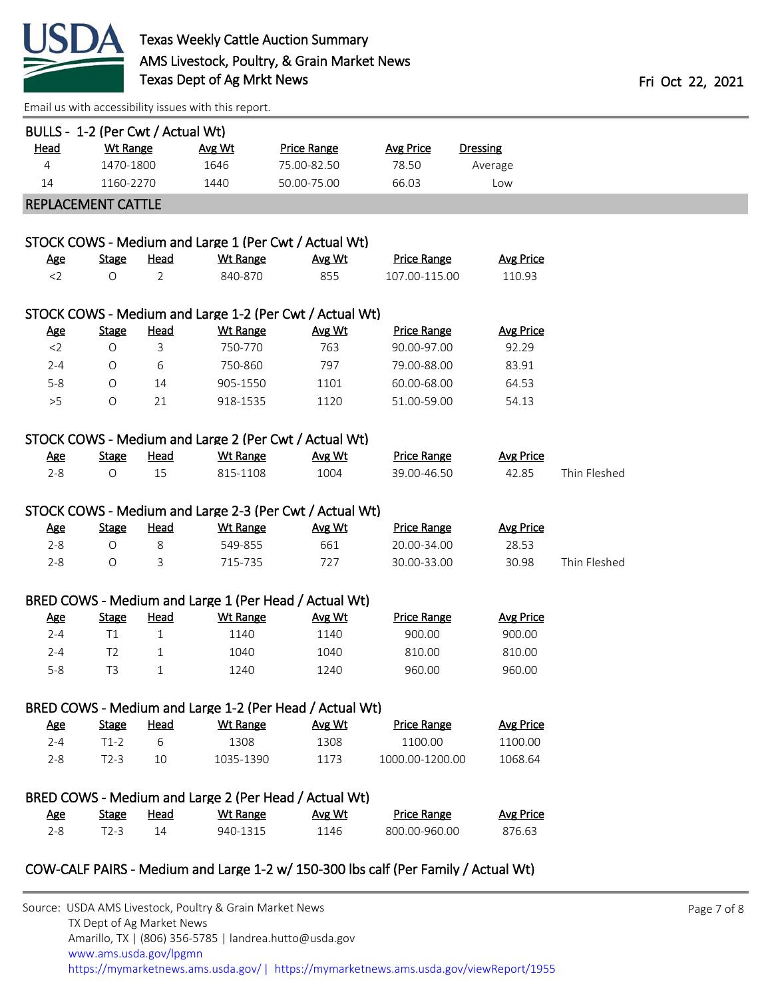

[Email us with accessibility issues with this report.](mailto:mars@ams.usda.gov?subject=508%20issue)

| BULLS - 1-2 (Per Cwt / Actual Wt) | <b>Wt Range</b> |                | Avg Wt          |                                                         |                           |                     |              |
|-----------------------------------|-----------------|----------------|-----------------|---------------------------------------------------------|---------------------------|---------------------|--------------|
| <u>Head</u><br>4                  | 1470-1800       |                | 1646            | <b>Price Range</b><br>75.00-82.50                       | <b>Avg Price</b><br>78.50 | Dressing<br>Average |              |
| 14                                | 1160-2270       |                | 1440            | 50.00-75.00                                             | 66.03                     | Low                 |              |
|                                   |                 |                |                 |                                                         |                           |                     |              |
| REPLACEMENT CATTLE                |                 |                |                 |                                                         |                           |                     |              |
|                                   |                 |                |                 |                                                         |                           |                     |              |
|                                   |                 |                |                 | STOCK COWS - Medium and Large 1 (Per Cwt / Actual Wt)   |                           |                     |              |
| <u>Age</u>                        | <b>Stage</b>    | <u>Head</u>    | <b>Wt Range</b> | Avg Wt                                                  | <b>Price Range</b>        | <b>Avg Price</b>    |              |
| $<$ 2                             | $\circ$         | $\overline{2}$ | 840-870         | 855                                                     | 107.00-115.00             | 110.93              |              |
|                                   |                 |                |                 | STOCK COWS - Medium and Large 1-2 (Per Cwt / Actual Wt) |                           |                     |              |
| <u>Age</u>                        | <b>Stage</b>    | <b>Head</b>    | <b>Wt Range</b> | Avg Wt                                                  | <b>Price Range</b>        | <b>Avg Price</b>    |              |
| $<$ 2                             | $\circ$         | $\mathsf{3}$   | 750-770         | 763                                                     | 90.00-97.00               | 92.29               |              |
| $2 - 4$                           | $\circ$         | 6              | 750-860         | 797                                                     | 79.00-88.00               | 83.91               |              |
| $5 - 8$                           | $\circ$         | 14             | 905-1550        | 1101                                                    | 60.00-68.00               | 64.53               |              |
| >5                                | $\circ$         | 21             | 918-1535        | 1120                                                    | 51.00-59.00               | 54.13               |              |
|                                   |                 |                |                 |                                                         |                           |                     |              |
|                                   |                 |                |                 | STOCK COWS - Medium and Large 2 (Per Cwt / Actual Wt)   |                           |                     |              |
| <u>Age</u>                        | <b>Stage</b>    | <b>Head</b>    | <b>Wt Range</b> | Avg Wt                                                  | <b>Price Range</b>        | <b>Avg Price</b>    |              |
| $2 - 8$                           | $\circ$         | 15             | 815-1108        | 1004                                                    | 39.00-46.50               | 42.85               | Thin Fleshed |
|                                   |                 |                |                 |                                                         |                           |                     |              |
|                                   |                 |                |                 | STOCK COWS - Medium and Large 2-3 (Per Cwt / Actual Wt) |                           |                     |              |
| <u>Age</u>                        | <b>Stage</b>    | <u>Head</u>    | <b>Wt Range</b> | Avg Wt                                                  | <b>Price Range</b>        | <b>Avg Price</b>    |              |
| $2 - 8$                           | $\circ$         | 8              | 549-855         | 661                                                     | 20.00-34.00               | 28.53               |              |
| $2 - 8$                           | $\circ$         | $\mathbf{3}$   | 715-735         | 727                                                     | 30.00-33.00               | 30.98               | Thin Fleshed |
|                                   |                 |                |                 |                                                         |                           |                     |              |
|                                   |                 |                |                 | BRED COWS - Medium and Large 1 (Per Head / Actual Wt)   |                           |                     |              |
| <u>Age</u>                        | <b>Stage</b>    | <u>Head</u>    | <b>Wt Range</b> | Avg Wt                                                  | <b>Price Range</b>        | <b>Avg Price</b>    |              |
| $2 - 4$                           | T1              | $\mathbf{1}$   | 1140            | 1140                                                    | 900.00                    | 900.00              |              |
| $2 - 4$                           | T <sub>2</sub>  | $\mathbf{1}$   | 1040            | 1040                                                    | 810.00                    | 810.00              |              |
| $5 - 8$                           | T <sub>3</sub>  | $\mathbf 1$    | 1240            | 1240                                                    | 960.00                    | 960.00              |              |
|                                   |                 |                |                 |                                                         |                           |                     |              |
|                                   |                 |                |                 | BRED COWS - Medium and Large 1-2 (Per Head / Actual Wt) |                           |                     |              |
| <u>Age</u>                        | <b>Stage</b>    | <u>Head</u>    | <b>Wt Range</b> | Avg Wt                                                  | <b>Price Range</b>        | <b>Avg Price</b>    |              |
| $2 - 4$                           | $T1-2$          | 6              | 1308            | 1308                                                    | 1100.00                   | 1100.00             |              |
| $2 - 8$                           | $T2-3$          | 10             | 1035-1390       | 1173                                                    | 1000.00-1200.00           | 1068.64             |              |
|                                   |                 |                |                 |                                                         |                           |                     |              |
|                                   |                 |                |                 | BRED COWS - Medium and Large 2 (Per Head / Actual Wt)   |                           |                     |              |
| <u>Age</u>                        | <b>Stage</b>    | Head           | <b>Wt Range</b> | Avg Wt                                                  | <b>Price Range</b>        | <b>Avg Price</b>    |              |
| $2 - 8$                           | $T2-3$          | 14             | 940-1315        | 1146                                                    | 800.00-960.00             | 876.63              |              |

## COW-CALF PAIRS - Medium and Large 1-2 w/ 150-300 lbs calf (Per Family / Actual Wt)

| Source: USDA AMS Livestock, Poultry & Grain Market News                                |
|----------------------------------------------------------------------------------------|
| TX Dept of Ag Market News                                                              |
| Amarillo, TX   (806) 356-5785   landrea.hutto@usda.gov                                 |
| www.ams.usda.gov/lpgmn                                                                 |
| https://mymarketnews.ams.usda.gov/   https://mymarketnews.ams.usda.gov/viewReport/1955 |